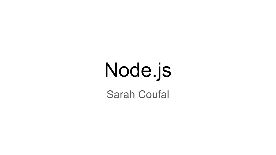# Node.js

Sarah Coufal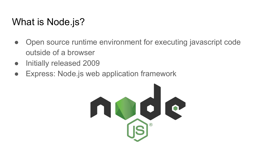## What is Node.js?

- Open source runtime environment for executing javascript code outside of a browser
- Initially released 2009
- Express: Node.js web application framework

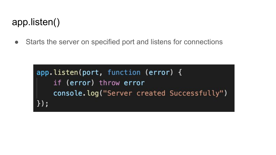## app.listen()

• Starts the server on specified port and listens for connections

```
app.listen(port, function (error) {
    if (error) throw error
    console.log("Server created Successfully")
\});
```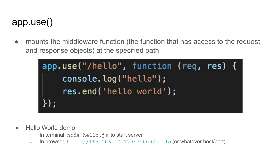#### app.use()

• mounts the middleware function (the function that has access to the request and response objects) at the specified path

| app.use("/hello", function (req, res) { |  |
|-----------------------------------------|--|
| console.log("hello");                   |  |
| res.end('hello world');                 |  |
| $\}$ ) ;                                |  |

- Hello World demo
	- In terminal, node hello.js to start server
	- In browser, <http://165.106.10.170:31009/hello> (or whatever host/port)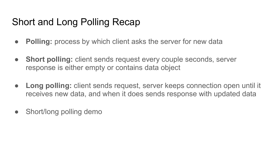## Short and Long Polling Recap

- **● Polling:** process by which client asks the server for new data
- **● Short polling:** client sends request every couple seconds, server response is either empty or contains data object
- **● Long polling:** client sends request, server keeps connection open until it receives new data, and when it does sends response with updated data
- Short/long polling demo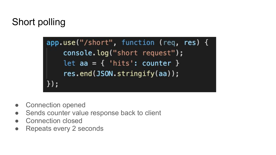# Short polling

 $app.use("/short", function (req, res)  $\{$$ console.log("short request"); let  $aa = \{ 'hits': counter \}$ res.end(JSON.stringify(aa));  $\}$ );

- Connection opened
- Sends counter value response back to client
- Connection closed
- Repeats every 2 seconds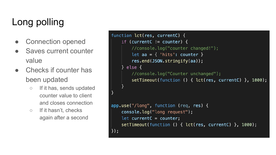# Long polling

- **Connection opened**
- Saves current counter value
- **Checks if counter has** been updated
	- If it has, sends updated counter value to client and closes connection
	- If it hasn't, checks again after a second

```
function lct(res, currentC) {
    if (currentC != counter) {
        //console.log("counter changed!");
        let aa = \{ 'hits': counter \}res.end(JSON.stringify(aa));} else \{//console.log("Counter unchanged");
        setTimeout(function () { let(res, currentC) }, 1000);
app.use("/long", function (req, res) {
    console.log("long request");
    let currentC = counter;setTimeout(function () { lct(res, currentC) }, 1000);
\});
```